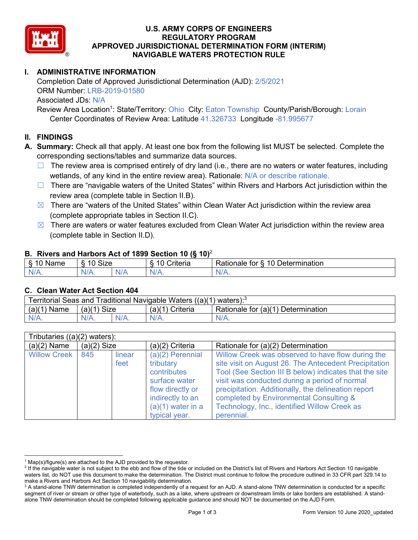

## **U.S. ARMY CORPS OF ENGINEERS REGULATORY PROGRAM APPROVED JURISDICTIONAL DETERMINATION FORM (INTERIM) NAVIGABLE WATERS PROTECTION RULE**

# **I. ADMINISTRATIVE INFORMATION**

Completion Date of Approved Jurisdictional Determination (AJD): 2/5/2021 ORM Number: LRB-2019-01580 Associated JDs: N/A

Review Area Location<sup>1</sup>: State/Territory: Ohio City: Eaton Township County/Parish/Borough: Lorain Center Coordinates of Review Area: Latitude 41.326733 Longitude -81.995677

### **II. FINDINGS**

**A. Summary:** Check all that apply. At least one box from the following list MUST be selected. Complete the corresponding sections/tables and summarize data sources.

- $\Box$  The review area is comprised entirely of dry land (i.e., there are no waters or water features, including wetlands, of any kind in the entire review area). Rationale: N/A or describe rationale.
- $\Box$  There are "navigable waters of the United States" within Rivers and Harbors Act jurisdiction within the review area (complete table in Section II.B).
- $\boxtimes$  There are "waters of the United States" within Clean Water Act jurisdiction within the review area (complete appropriate tables in Section II.C).
- $\boxtimes$  There are waters or water features excluded from Clean Water Act jurisdiction within the review area (complete table in Section II.D).

### **B. Rivers and Harbors Act of 1899 Section 10 (§ 10)**<sup>2</sup>

| $\cdot$                                 |            |     |                          |                                                         |  |
|-----------------------------------------|------------|-----|--------------------------|---------------------------------------------------------|--|
| $\sim$<br>$\sim$ 100 $\sim$<br>ame<br>v | Size<br>10 |     | .<br>10<br>-<br>∶riteria | ∽<br>-<br>$\Delta$<br>Rationale<br>Jetermination<br>tor |  |
| $N/A$ .                                 | $N/A$ .    | N/r | $N/A$ .                  | 'NL<br>$\mathbf{v}$                                     |  |

### **C. Clean Water Act Section 404**

| Territorial Seas and Traditional Navigable Waters $((a)(1)$ waters): <sup>3</sup> |                |  |                 |                                    |  |
|-----------------------------------------------------------------------------------|----------------|--|-----------------|------------------------------------|--|
| (a)(1)<br>Name                                                                    | Size<br>(a)(1) |  | (a)(1) Criteria | Rationale for (a)(1) Determination |  |
|                                                                                   | $N/A$ .        |  | $N/A$ .         | $N/A$ .                            |  |

| Tributaries $((a)(2)$ waters): |               |        |                     |                                                        |  |
|--------------------------------|---------------|--------|---------------------|--------------------------------------------------------|--|
| $(a)(2)$ Name                  | $(a)(2)$ Size |        | $(a)(2)$ Criteria   | Rationale for (a)(2) Determination                     |  |
| <b>Willow Creek</b>            | 845           | linear | $(a)(2)$ Perennial  | Willow Creek was observed to have flow during the      |  |
|                                |               | feet   | tributary           | site visit on August 26. The Antecedent Precipitation  |  |
|                                |               |        | contributes         | Tool (See Section III B below) indicates that the site |  |
|                                |               |        | surface water       | visit was conducted during a period of normal          |  |
|                                |               |        | flow directly or    | precipitation. Additionally, the delineation report    |  |
|                                |               |        | indirectly to an    | completed by Environmental Consulting &                |  |
|                                |               |        | $(a)(1)$ water in a | Technology, Inc., identified Willow Creek as           |  |
|                                |               |        | typical year.       | perennial.                                             |  |

 $1$  Map(s)/figure(s) are attached to the AJD provided to the requestor.

<sup>&</sup>lt;sup>2</sup> If the navigable water is not subject to the ebb and flow of the tide or included on the District's list of Rivers and Harbors Act Section 10 navigable waters list, do NOT use this document to make the determination. The District must continue to follow the procedure outlined in 33 CFR part 329.14 to make a Rivers and Harbors Act Section 10 navigability determination.

<sup>&</sup>lt;sup>3</sup> A stand-alone TNW determination is completed independently of a request for an AJD. A stand-alone TNW determination is conducted for a specific segment of river or stream or other type of waterbody, such as a lake, where upstream or downstream limits or lake borders are established. A standalone TNW determination should be completed following applicable guidance and should NOT be documented on the AJD Form.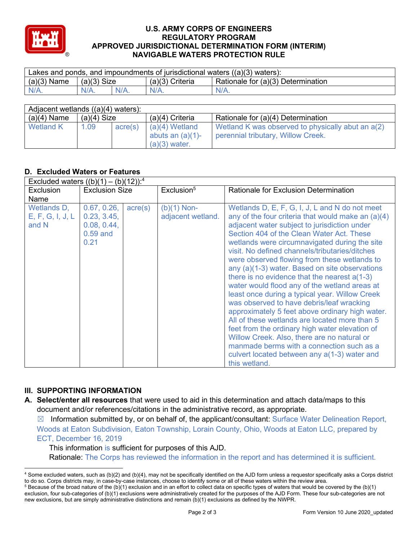

### **U.S. ARMY CORPS OF ENGINEERS REGULATORY PROGRAM APPROVED JURISDICTIONAL DETERMINATION FORM (INTERIM) NAVIGABLE WATERS PROTECTION RULE**

| Lakes and ponds, and impoundments of jurisdictional waters $((a)(3)$ waters): |               |         |                   |                                    |  |
|-------------------------------------------------------------------------------|---------------|---------|-------------------|------------------------------------|--|
| $(a)(3)$ Name                                                                 | $(a)(3)$ Size |         | $(a)(3)$ Criteria | Rationale for (a)(3) Determination |  |
| $N/A$ .                                                                       | $N/A$ .       | $N/A$ . | $N/A$ .           | $N/A$ .                            |  |

| Adjacent wetlands $((a)(4)$ waters): |               |         |                                                            |                                                                                         |  |  |
|--------------------------------------|---------------|---------|------------------------------------------------------------|-----------------------------------------------------------------------------------------|--|--|
| $(a)(4)$ Name                        | $(a)(4)$ Size |         | $(a)(4)$ Criteria                                          | Rationale for (a)(4) Determination                                                      |  |  |
| <b>Wetland K</b>                     | 1.09          | acre(s) | $(a)(4)$ Wetland<br>abuts an $(a)(1)$ -<br>$(a)(3)$ water. | Wetland K was observed to physically abut an a(2)<br>perennial tributary, Willow Creek. |  |  |

# **D. Excluded Waters or Features**

| Excluded waters $((b)(1) - (b)(12))$ : <sup>4</sup> |                                                                 |                  |                                    |                                                                                                                                                                                                                                                                                                                                                                                                                                                                                                                                                                                                                                                                                                                                                                                                                                                                                                                               |  |
|-----------------------------------------------------|-----------------------------------------------------------------|------------------|------------------------------------|-------------------------------------------------------------------------------------------------------------------------------------------------------------------------------------------------------------------------------------------------------------------------------------------------------------------------------------------------------------------------------------------------------------------------------------------------------------------------------------------------------------------------------------------------------------------------------------------------------------------------------------------------------------------------------------------------------------------------------------------------------------------------------------------------------------------------------------------------------------------------------------------------------------------------------|--|
| <b>Exclusion</b>                                    | <b>Exclusion Size</b>                                           |                  | Exclusion <sup>5</sup>             | Rationale for Exclusion Determination                                                                                                                                                                                                                                                                                                                                                                                                                                                                                                                                                                                                                                                                                                                                                                                                                                                                                         |  |
| Name                                                |                                                                 |                  |                                    |                                                                                                                                                                                                                                                                                                                                                                                                                                                                                                                                                                                                                                                                                                                                                                                                                                                                                                                               |  |
| Wetlands D,<br>E, F, G, I, J, L<br>and N            | 0.67, 0.26,<br>0.23, 3.45,<br>0.08, 0.44,<br>$0.59$ and<br>0.21 | $\text{acre}(s)$ | $(b)(1)$ Non-<br>adjacent wetland. | Wetlands D, E, F, G, I, J, L and N do not meet<br>any of the four criteria that would make an $(a)(4)$<br>adjacent water subject to jurisdiction under<br>Section 404 of the Clean Water Act. These<br>wetlands were circumnavigated during the site<br>visit. No defined channels/tributaries/ditches<br>were observed flowing from these wetlands to<br>any (a)(1-3) water. Based on site observations<br>there is no evidence that the nearest $a(1-3)$<br>water would flood any of the wetland areas at<br>least once during a typical year. Willow Creek<br>was observed to have debris/leaf wracking<br>approximately 5 feet above ordinary high water.<br>All of these wetlands are located more than 5<br>feet from the ordinary high water elevation of<br>Willow Creek. Also, there are no natural or<br>manmade berms with a connection such as a<br>culvert located between any a(1-3) water and<br>this wetland. |  |

## **III. SUPPORTING INFORMATION**

**A. Select/enter all resources** that were used to aid in this determination and attach data/maps to this document and/or references/citations in the administrative record, as appropriate.

 $\boxtimes$  Information submitted by, or on behalf of, the applicant/consultant: Surface Water Delineation Report, Woods at Eaton Subdivision, Eaton Township, Lorain County, Ohio, Woods at Eaton LLC, prepared by ECT, December 16, 2019

This information is sufficient for purposes of this AJD. Rationale: The Corps has reviewed the information in the report and has determined it is sufficient.

<sup>4</sup> Some excluded waters, such as (b)(2) and (b)(4), may not be specifically identified on the AJD form unless a requestor specifically asks a Corps district to do so. Corps districts may, in case-by-case instances, choose to identify some or all of these waters within the review area.

 $5$  Because of the broad nature of the (b)(1) exclusion and in an effort to collect data on specific types of waters that would be covered by the (b)(1) exclusion, four sub-categories of (b)(1) exclusions were administratively created for the purposes of the AJD Form. These four sub-categories are not new exclusions, but are simply administrative distinctions and remain (b)(1) exclusions as defined by the NWPR.